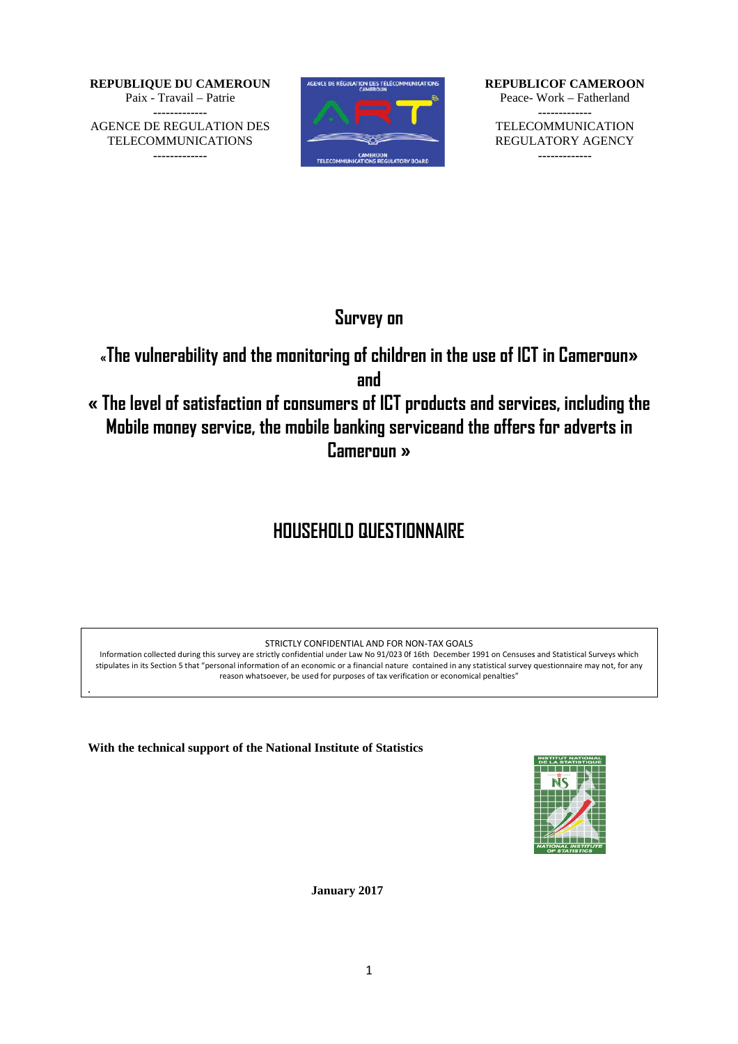**REPUBLIQUE DU CAMEROUN** Paix - Travail – Patrie **-------------** AGENCE DE REGULATION DES TELECOMMUNICATIONS **-------------**



**REPUBLICOF CAMEROON** Peace-Work – Fatherland TELECOMMUNICATION REGULATORY AGENCY **------------- -------------**

## **Survey on**

**«The vulnerability and the monitoring of children in the use of ICT in children in use in Cameroun»**

**and**

**« The level of satisfaction of consumers of ICT products and services, including products including the Mobile money service, the mobile banking serviceand the offers for adverts in and the Cameroun »** REPUBLICOF CAMEROON<br>
Peace- Work – Fatherland<br>
TELECOMMUNICATION<br>
REGULATORY AGENCY<br>
ME USE Of ICT in Cameroun»<br>
ts and services, including the<br>
del the offers for adverts in<br>
Meri<sup>991</sup> on Censuses and Statistical Surveys

# **HOUSEHOLD QUESTIONNAIRE**

STRICTLY CONFIDENTIAL AND FOR NON-TAX GOALS

Information collected during this survey are strictly confidential under Law No 91/023 Of 16th December 1991 on Censuses and Statistical Surveys which stipulates in its Section 5 that "personal information of an economic or a financial nature contained in any statistical survey questionnaire may not, for any reason whatsoever, be used for purposes of tax verification or economical penalties"

**With the technical support of the National Institute of Statistics**

*.*



**January 2017**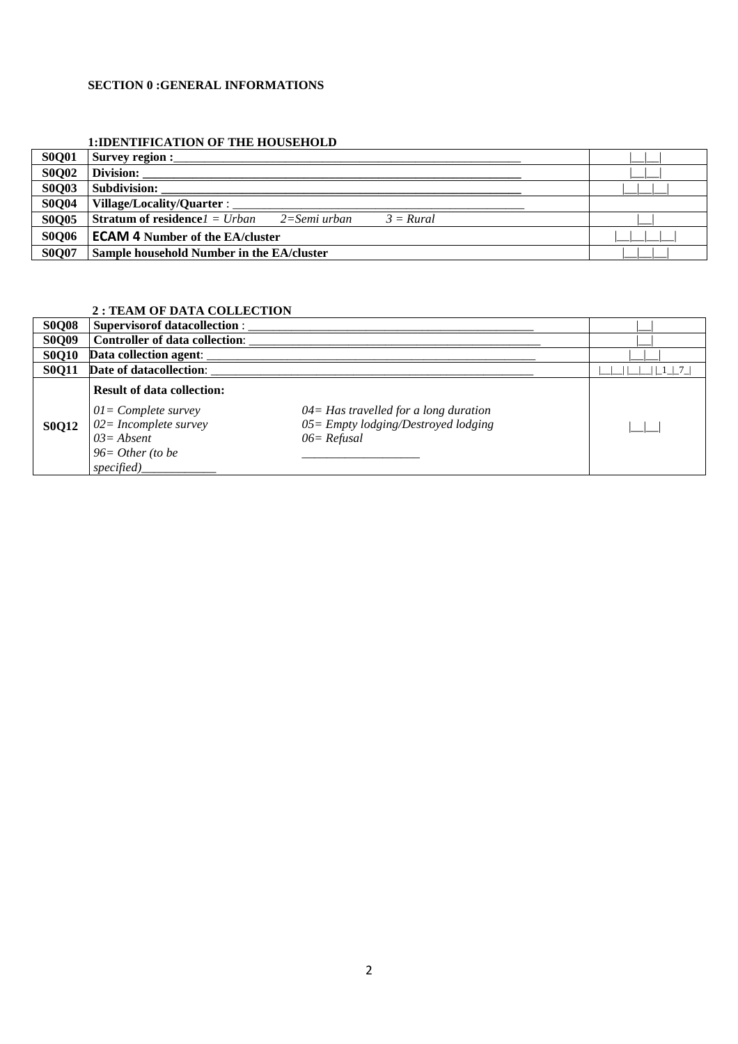#### **SECTION 0 :GENERAL INFORMATIONS**

#### **1:IDENTIFICATION OF THE HOUSEHOLD**

| <b>S0Q01</b> | <b>Survey region :</b>                                                 |  |
|--------------|------------------------------------------------------------------------|--|
| <b>S0Q02</b> | Division:                                                              |  |
| <b>S0Q03</b> | Subdivision:                                                           |  |
| <b>S0Q04</b> | Village/Locality/Quarter:                                              |  |
| <b>S0Q05</b> | <b>Stratum of residence</b> $l = Urban$<br>2=Semi urban<br>$3 = Rural$ |  |
| <b>S0Q06</b> | <b>ECAM 4 Number of the EA/cluster</b>                                 |  |
| <b>S0Q07</b> | Sample household Number in the EA/cluster                              |  |

#### **2 : TEAM OF DATA COLLECTION**

| <b>S0Q08</b> | <b>Supervisor of datacollection:</b>                                                                                                        |                                                                                                      |  |
|--------------|---------------------------------------------------------------------------------------------------------------------------------------------|------------------------------------------------------------------------------------------------------|--|
| <b>S0Q09</b> | <b>Controller of data collection:</b>                                                                                                       |                                                                                                      |  |
| <b>S0Q10</b> | Data collection agent:                                                                                                                      |                                                                                                      |  |
| <b>S0Q11</b> | Date of datacollection:                                                                                                                     |                                                                                                      |  |
| <b>S0Q12</b> | <b>Result of data collection:</b><br>$01 = Complete survey$<br>$02 = Incomplete survey$<br>$03 = Absent$<br>$96=Other (to be$<br>specified) | $04 = Has$ travelled for a long duration<br>$05 =$ Empty lodging/Destroyed lodging<br>$06 = Refusal$ |  |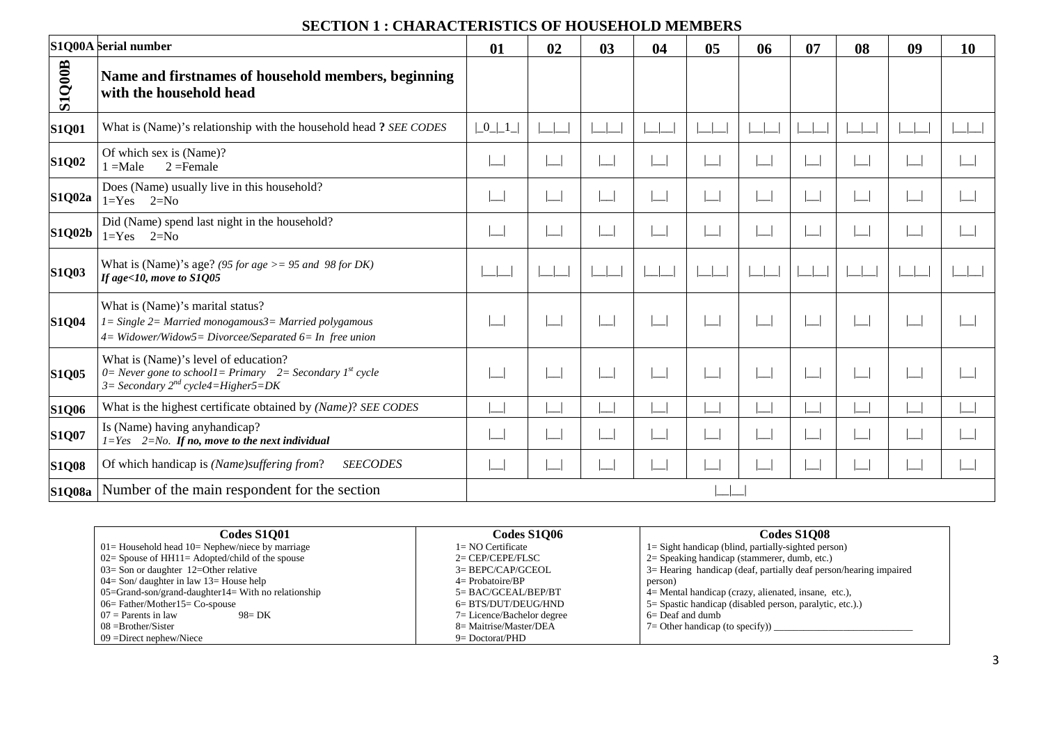## **SECTION 1 : CHARACTERISTICS OF HOUSEHOLD MEMBERS**

|               | <b>S1Q00A</b> Serial number                                                                                                                           | 01                                    | 02 | 03 | 04 | 05 | 06 | 07 | 08 | 09 | <b>10</b> |
|---------------|-------------------------------------------------------------------------------------------------------------------------------------------------------|---------------------------------------|----|----|----|----|----|----|----|----|-----------|
| <b>S1Q00B</b> | Name and firstnames of household members, beginning<br>with the household head                                                                        |                                       |    |    |    |    |    |    |    |    |           |
| <b>S1Q01</b>  | What is (Name)'s relationship with the household head? SEE CODES                                                                                      | $\lfloor 0 \rfloor \lfloor 1 \rfloor$ |    |    |    |    |    |    |    |    |           |
| <b>S1Q02</b>  | Of which sex is (Name)?<br>$=$ Male<br>$2 =$ Female                                                                                                   |                                       |    |    |    |    |    |    |    |    |           |
| <b>S1Q02a</b> | Does (Name) usually live in this household?<br>$1 = Yes$ $2 = No$                                                                                     |                                       |    |    |    |    |    |    |    |    |           |
| <b>S1Q02b</b> | Did (Name) spend last night in the household?<br>$1 = Yes$ $2 = No$                                                                                   |                                       |    |    |    |    |    |    |    |    |           |
| <b>S1Q03</b>  | What is (Name)'s age? (95 for age $> = 95$ and 98 for DK)<br>If age<10, move to S1Q05                                                                 |                                       |    |    |    |    |    |    |    |    |           |
| <b>S1Q04</b>  | What is (Name)'s marital status?<br>1= Single 2= Married monogamous3= Married polygamous<br>4= Widower/Widow5= Divorcee/Separated 6= In free union    |                                       |    |    |    |    |    |    |    |    |           |
| <b>S1Q05</b>  | What is (Name)'s level of education?<br>0 = Never gone to school1 = Primary 2 = Secondary $I^{st}$ cycle<br>$3=$ Secondary $2^{nd}$ cycle4=Higher5=DK |                                       |    |    |    |    |    |    |    |    |           |
| <b>S1Q06</b>  | What is the highest certificate obtained by (Name)? SEE CODES                                                                                         |                                       |    |    |    |    |    |    |    |    |           |
| <b>S1Q07</b>  | Is (Name) having any handicap?<br>$1 = Yes$ 2=No. If no, move to the next individual                                                                  |                                       |    |    |    |    |    |    |    |    |           |
| <b>S1Q08</b>  | Of which handicap is (Name)suffering from?<br><b>SEECODES</b>                                                                                         |                                       |    |    |    |    |    |    |    |    |           |
|               | S1Q08a   Number of the main respondent for the section                                                                                                |                                       |    |    |    |    |    |    |    |    |           |

| Codes S1001                                              | <b>Codes S1006</b>         | Codes S1O08                                                          |
|----------------------------------------------------------|----------------------------|----------------------------------------------------------------------|
| $01 =$ Household head $10 =$ Nephew/niece by marriage    | $1 = NO$ Certificate       | $1 =$ Sight handicap (blind, partially-sighted person)               |
| $02 =$ Spouse of HH11 = Adopted/child of the spouse      | $2=CEP/CEPE/FLSC$          | $2=$ Speaking handicap (stammerer, dumb, etc.)                       |
| $03 =$ Son or daughter 12=Other relative                 | $3=BEPC/CAP/GCEOL$         | $3$ = Hearing handicap (deaf, partially deaf person/hearing impaired |
| 04 = Son/ daughter in law $13$ = House help              | $4=$ Probatoire/BP         | person)                                                              |
| $05 = Grand-son/grand-daughter14 = With no relationship$ | 5= BAC/GCEAL/BEP/BT        | 4 = Mental handicap (crazy, alienated, insane, etc.),                |
| $06=$ Father/Mother $15=$ Co-spouse                      | 6= BTS/DUT/DEUG/HND        | 5 = Spastic handicap (disabled person, paralytic, etc.).)            |
| $07$ = Parents in law<br>$98 = DK$                       | 7= Licence/Bachelor degree | $6 =$ Deaf and dumb                                                  |
| $08 = Brother/Sister$                                    | 8= Maitrise/Master/DEA     | $7=$ Other handicap (to specify)) $\overline{\phantom{a}}$           |
| $09 =$ Direct nephew/Niece                               | $9 = Doctorat/PHD$         |                                                                      |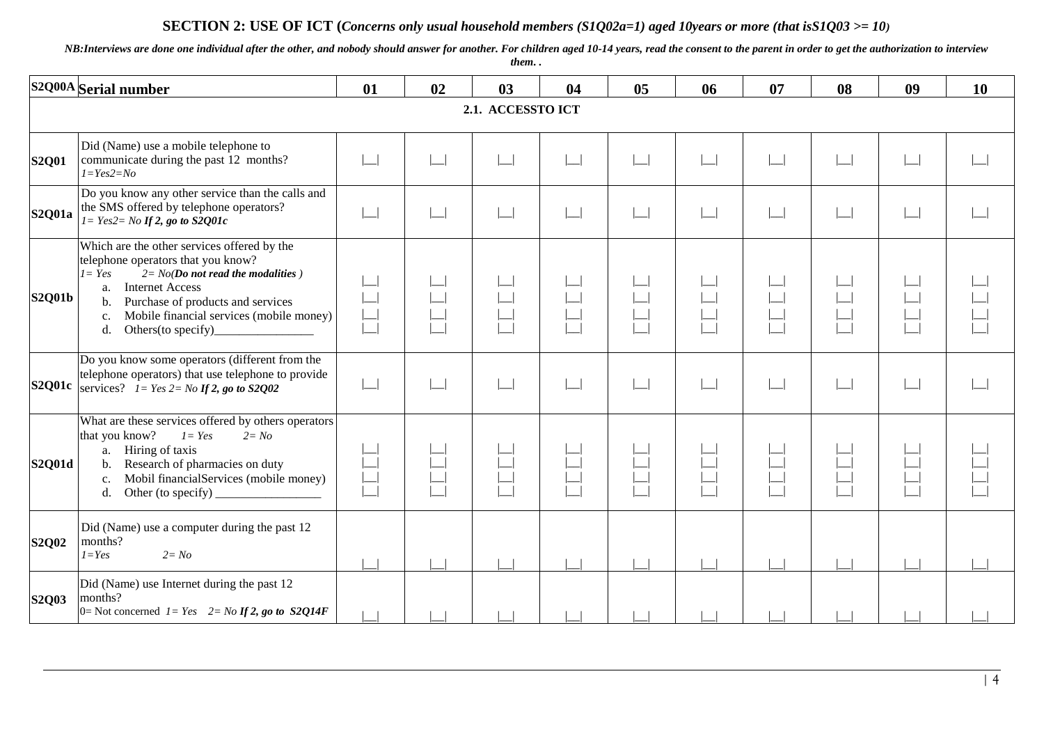#### **SECTION 2: USE OF ICT (***Concerns only usual household members (S1Q02a=1) aged 10years or more (that isS1Q03 >= 10)*

*NB:Interviews are done one individual after the other, and nobody should answer for another. For children aged 10-14 years, read the consent to the parent in order to get the authorization to interview them. .*

|               | S2Q00A Serial number                                                                                                                                                                                                                                                                                          | 01     | 02 | 03                    | 04 | 0 <sub>5</sub> | 06                | 07 | 08 | 09 | 10 |  |  |  |
|---------------|---------------------------------------------------------------------------------------------------------------------------------------------------------------------------------------------------------------------------------------------------------------------------------------------------------------|--------|----|-----------------------|----|----------------|-------------------|----|----|----|----|--|--|--|
|               | 2.1. ACCESSTO ICT                                                                                                                                                                                                                                                                                             |        |    |                       |    |                |                   |    |    |    |    |  |  |  |
| <b>S2Q01</b>  | Did (Name) use a mobile telephone to<br>communicate during the past 12 months?<br>$I = Yes2 = No$                                                                                                                                                                                                             |        |    | $\Box$                |    |                |                   |    |    |    |    |  |  |  |
| <b>S2Q01a</b> | Do you know any other service than the calls and<br>the SMS offered by telephone operators?<br>$I = Yes2 = No$ If 2, go to S2Q01c                                                                                                                                                                             | $\Box$ |    | $\boxed{\phantom{1}}$ |    |                | $\vert \ \ \vert$ |    | ᅴ  |    |    |  |  |  |
| <b>S2Q01b</b> | Which are the other services offered by the<br>telephone operators that you know?<br>$2 = No(Do$ not read the modalities )<br>$I = Yes$<br><b>Internet Access</b><br>a.<br>Purchase of products and services<br>$\mathbf{b}$ .<br>Mobile financial services (mobile money)<br>c.<br>d.<br>Others (to specify) |        |    |                       |    |                |                   |    |    |    |    |  |  |  |
|               | Do you know some operators (different from the<br>telephone operators) that use telephone to provide<br><b>S2Q01c</b> services? $I = Yes$ 2 = No If 2, go to S2Q02                                                                                                                                            |        |    | $\Box$                |    |                |                   |    |    |    |    |  |  |  |
| S2Q01d        | What are these services offered by others operators<br>that you know?<br>$I = Yes$<br>$2 = No$<br>Hiring of taxis<br>a.<br>Research of pharmacies on duty<br>$\mathbf{b}$ .<br>Mobil financialServices (mobile money)<br>c.<br>Other (to specify)<br>d.                                                       |        |    |                       |    |                |                   |    |    |    |    |  |  |  |
| <b>S2Q02</b>  | Did (Name) use a computer during the past 12<br>months?<br>$I = Yes$<br>$2 = No$                                                                                                                                                                                                                              |        |    |                       |    |                |                   |    |    |    |    |  |  |  |
| <b>S2Q03</b>  | Did (Name) use Internet during the past 12<br>months?<br>$0=$ Not concerned $I=Yes$ $2= No If 2, go to S2Q14F$                                                                                                                                                                                                |        |    |                       |    |                |                   |    |    |    |    |  |  |  |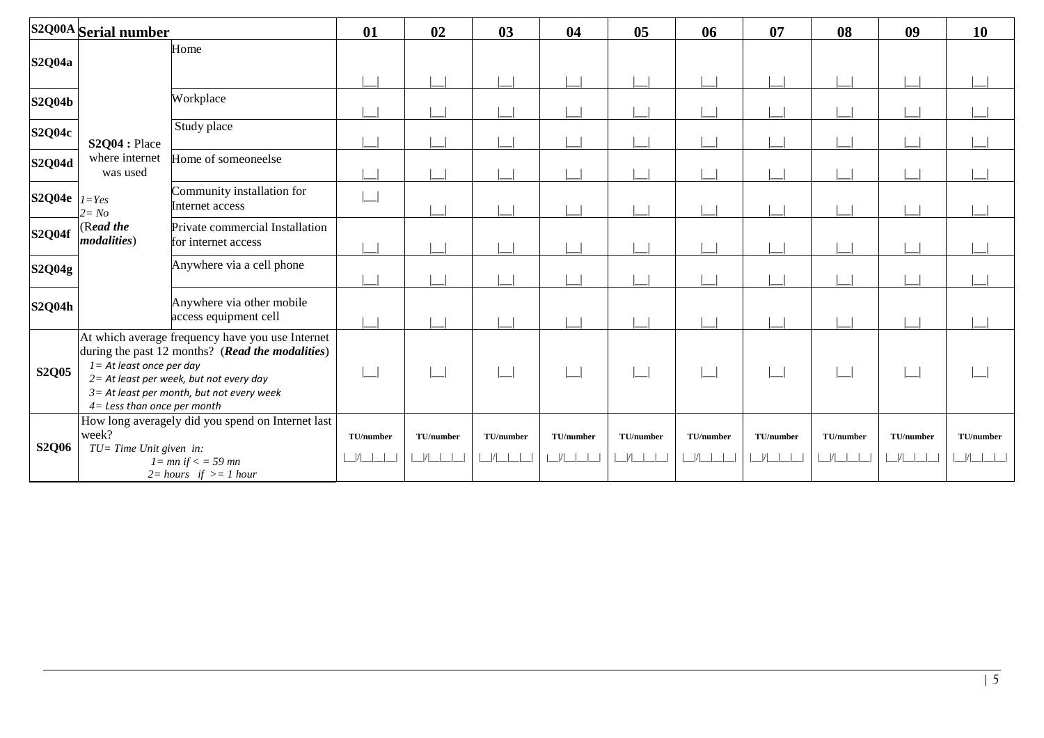|                    | S2Q00A Serial number                                         |                                                                                                                                                                                                 | 01              | 02               | 03                         | 04              | 05        | 06              | 07                         | 08        | 09              | 10              |
|--------------------|--------------------------------------------------------------|-------------------------------------------------------------------------------------------------------------------------------------------------------------------------------------------------|-----------------|------------------|----------------------------|-----------------|-----------|-----------------|----------------------------|-----------|-----------------|-----------------|
| S2Q04a             |                                                              | Home                                                                                                                                                                                            |                 |                  |                            |                 |           |                 |                            |           |                 |                 |
| <b>S2Q04b</b>      |                                                              | Workplace                                                                                                                                                                                       |                 |                  |                            |                 |           |                 |                            |           |                 |                 |
| <b>S2Q04c</b>      | S2Q04 : Place                                                | Study place                                                                                                                                                                                     |                 |                  |                            |                 |           |                 |                            |           |                 |                 |
| S2Q04d             | where internet<br>was used                                   | Home of someoneelse                                                                                                                                                                             |                 |                  |                            |                 |           |                 |                            |           |                 |                 |
| S2Q04e $ _{I=Yes}$ | $2 = No$                                                     | Community installation for<br>Internet access                                                                                                                                                   |                 |                  |                            |                 |           |                 |                            |           |                 |                 |
| <b>S2Q04f</b>      | (Read the<br><i>modalities</i> )                             | Private commercial Installation<br>for internet access                                                                                                                                          |                 |                  |                            |                 |           |                 |                            |           |                 |                 |
| <b>S2Q04g</b>      |                                                              | Anywhere via a cell phone                                                                                                                                                                       |                 |                  |                            |                 |           |                 |                            |           |                 |                 |
| <b>S2Q04h</b>      |                                                              | Anywhere via other mobile<br>access equipment cell                                                                                                                                              |                 |                  |                            |                 |           |                 |                            |           |                 |                 |
| <b>S2Q05</b>       | $I = At$ least once per day<br>$4=$ Less than once per month | At which average frequency have you use Internet<br>during the past 12 months? (Read the modalities)<br>2= At least per week, but not every day<br>$3$ = At least per month, but not every week |                 |                  |                            |                 |           |                 |                            |           |                 |                 |
| <b>S2Q06</b>       | week?<br>$TU = Time$ Unit given in:                          | How long averagely did you spend on Internet last<br>$l = mn$ if $\lt$ = 59 mn<br>$2 = hours$ if $>= 1 hour$                                                                                    | TU/number<br> / | TU/number<br>1/1 | TU/number<br> / <br>$\Box$ | TU/number<br> / | TU/number | TU/number<br> / | TU/number<br>$\frac{1}{1}$ | TU/number | TU/number<br> / | TU/number<br> / |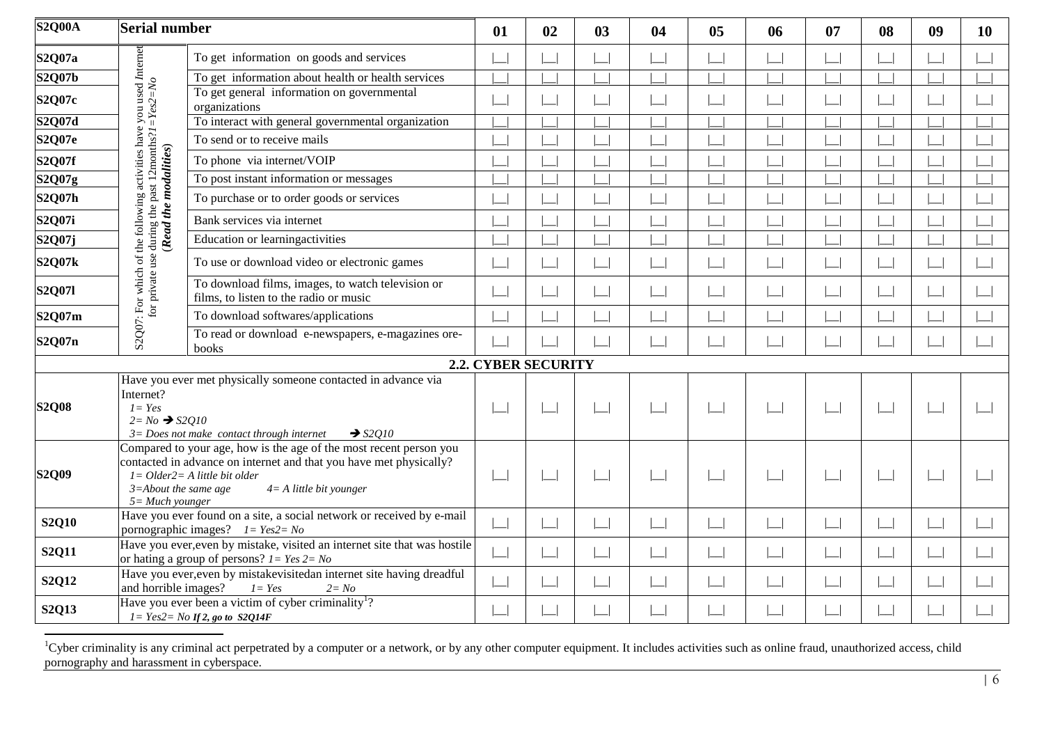| S2Q00A        | <b>Serial number</b>                                                                                                             |                                                                                                                                                                                                             | 01                    | 02 | 03 | 04                                       | 0 <sub>5</sub> | 06 | 07     | 08 | 09 | <b>10</b> |
|---------------|----------------------------------------------------------------------------------------------------------------------------------|-------------------------------------------------------------------------------------------------------------------------------------------------------------------------------------------------------------|-----------------------|----|----|------------------------------------------|----------------|----|--------|----|----|-----------|
| S2Q07a        |                                                                                                                                  | To get information on goods and services                                                                                                                                                                    |                       |    |    |                                          |                |    |        |    |    |           |
| <b>S2Q07b</b> |                                                                                                                                  | To get information about health or health services                                                                                                                                                          |                       |    |    |                                          |                |    |        |    |    |           |
| S2Q07c        |                                                                                                                                  | To get general information on governmental<br>organizations                                                                                                                                                 |                       |    |    |                                          |                |    |        |    |    |           |
| S2Q07d        |                                                                                                                                  | To interact with general governmental organization                                                                                                                                                          |                       |    |    |                                          |                |    |        |    |    |           |
| <b>S2Q07e</b> |                                                                                                                                  | To send or to receive mails                                                                                                                                                                                 |                       |    |    |                                          |                |    |        |    |    |           |
| S2Q07f        |                                                                                                                                  | To phone via internet/VOIP                                                                                                                                                                                  |                       |    |    |                                          |                |    |        |    |    |           |
| S2Q07g        |                                                                                                                                  | To post instant information or messages                                                                                                                                                                     |                       |    |    |                                          |                |    |        |    |    |           |
| S2Q07h        | (Read the modalities)                                                                                                            | To purchase or to order goods or services                                                                                                                                                                   |                       |    |    |                                          |                |    |        |    |    |           |
| S2Q07i        |                                                                                                                                  | Bank services via internet                                                                                                                                                                                  |                       |    |    |                                          |                |    |        |    |    |           |
| S2Q07j        |                                                                                                                                  | Education or learning activities                                                                                                                                                                            |                       |    |    |                                          |                |    |        |    |    |           |
| <b>S2Q07k</b> |                                                                                                                                  | To use or download video or electronic games                                                                                                                                                                |                       |    |    |                                          |                |    |        |    |    |           |
| <b>S2Q071</b> | S2Q07: For which of the following activities have you used Internet<br>for private use during the past 12<br>months?1= $Yes2=No$ | To download films, images, to watch television or<br>films, to listen to the radio or music                                                                                                                 |                       |    |    |                                          |                |    |        |    |    |           |
| S2Q07m        |                                                                                                                                  | To download softwares/applications                                                                                                                                                                          |                       |    |    |                                          |                |    |        |    |    |           |
| S2Q07n        |                                                                                                                                  | To read or download e-newspapers, e-magazines ore-<br>books                                                                                                                                                 |                       |    |    |                                          |                |    |        |    |    |           |
|               |                                                                                                                                  |                                                                                                                                                                                                             | 2.2. CYBER SECURITY   |    |    |                                          |                |    |        |    |    |           |
| <b>S2Q08</b>  | Internet?<br>$I = Yes$<br>$2 = No \rightarrow $2Q10$                                                                             | Have you ever met physically someone contacted in advance via<br>$3 = Does not make contact through internet$<br>$\rightarrow$ S2O10                                                                        | $\Box$                |    |    | $\vert \ \ \vert$                        |                |    |        |    |    |           |
| <b>S2Q09</b>  | $3 =$ About the same age<br>$5 = Much$ younger                                                                                   | Compared to your age, how is the age of the most recent person you<br>contacted in advance on internet and that you have met physically?<br>$I = Older2 = A$ little bit older<br>$4 = A$ little bit younger |                       |    |    |                                          |                |    |        |    |    |           |
| <b>S2Q10</b>  |                                                                                                                                  | Have you ever found on a site, a social network or received by e-mail<br>pornographic images? $I = Yes2 = No$                                                                                               |                       |    |    |                                          |                |    |        |    |    |           |
| <b>S2Q11</b>  |                                                                                                                                  | Have you ever, even by mistake, visited an internet site that was hostile<br>or hating a group of persons? $I = Yes$ $2 = No$                                                                               | $\boxed{\phantom{1}}$ |    |    | $\begin{array}{c} \boxed{1} \end{array}$ |                |    | $\sim$ |    |    |           |
| S2Q12         | and horrible images?                                                                                                             | Have you ever, even by mistakevisitedan internet site having dreadful<br>$I = Yes$<br>$2 = No$                                                                                                              |                       |    |    |                                          |                |    |        |    |    |           |
| S2Q13         |                                                                                                                                  | Have you ever been a victim of cyber criminality <sup>1</sup> ?<br>$I = Yes2 = No$ If 2, go to S2Q14F                                                                                                       |                       |    |    |                                          |                |    |        |    |    |           |

 ${}^{1}$ Cyber criminality is any criminal act perpetrated by a computer or a network, or by any other computer equipment. It includes activities such as online fraud, unauthorized access, child pornography and harassment in cyberspace.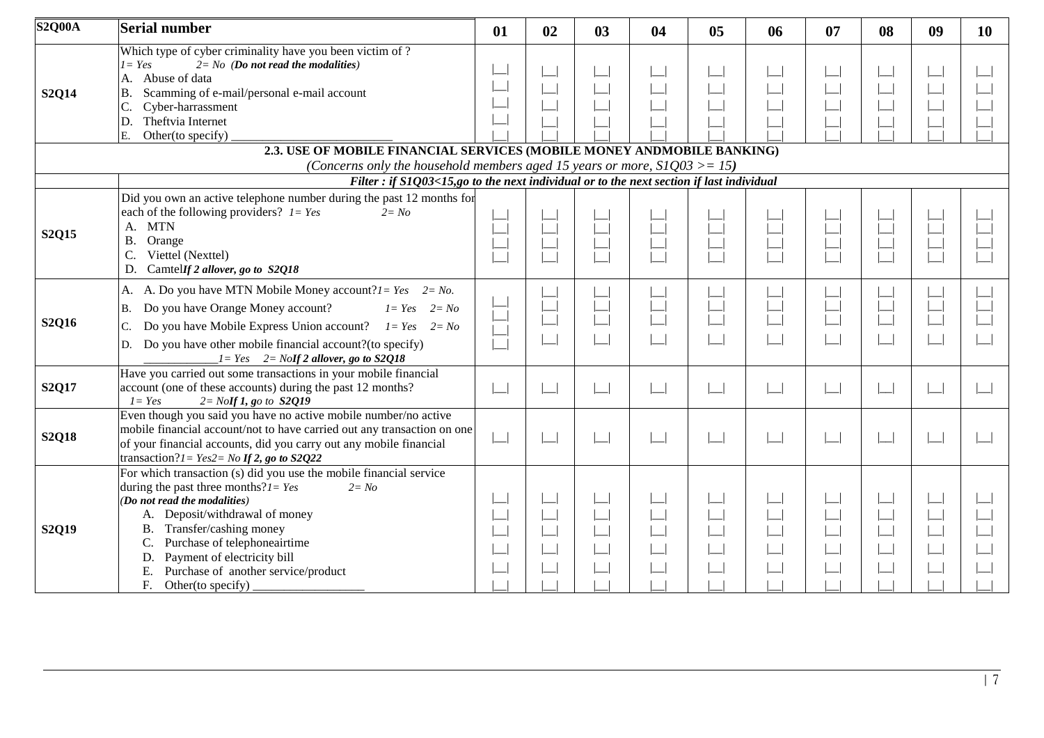| <b>S2Q00A</b> | <b>Serial number</b>                                                                                                                                                                                                                                                                                                                                                     | 01                    | 02 | 03 | 04 | 0 <sub>5</sub> | 06 | 07 | 08                    | 09 | <b>10</b> |
|---------------|--------------------------------------------------------------------------------------------------------------------------------------------------------------------------------------------------------------------------------------------------------------------------------------------------------------------------------------------------------------------------|-----------------------|----|----|----|----------------|----|----|-----------------------|----|-----------|
| <b>S2Q14</b>  | Which type of cyber criminality have you been victim of ?<br>$I = Yes$<br>$2 = No$ (Do not read the modalities)<br>A. Abuse of data<br>Scamming of e-mail/personal e-mail account<br><b>B.</b><br>Cyber-harrassment<br>Theftvia Internet<br>D.<br>Other(to specify)<br>Ε.                                                                                                |                       |    |    |    |                |    |    |                       |    |           |
|               | 2.3. USE OF MOBILE FINANCIAL SERVICES (MOBILE MONEY ANDMOBILE BANKING)<br>(Concerns only the household members aged 15 years or more, $SIQ03 \geq 15$ )                                                                                                                                                                                                                  |                       |    |    |    |                |    |    |                       |    |           |
|               | Filter : if S1Q03<15,go to the next individual or to the next section if last individual                                                                                                                                                                                                                                                                                 |                       |    |    |    |                |    |    |                       |    |           |
| <b>S2Q15</b>  | Did you own an active telephone number during the past 12 months for<br>each of the following providers? $I = Yes$<br>$2 = No$<br><b>MTN</b><br>A.<br>Orange<br>B.<br>Viettel (Nexttel)<br>CamtelIf 2 allover, go to S2Q18<br>D.                                                                                                                                         |                       |    |    |    |                |    |    |                       |    |           |
| <b>S2Q16</b>  | A. A. Do you have MTN Mobile Money account? $1 = Yes$ $2 = No$ .<br>Do you have Orange Money account?<br>$I = Yes$<br><b>B.</b><br>$2 = No$<br>Do you have Mobile Express Union account? $I = Yes$ $2 = No$<br>Do you have other mobile financial account?(to specify)<br>D.<br>$I = Yes$ $2 = Nolf 2$ allover, go to S2Q18                                              |                       |    |    |    |                |    |    |                       |    |           |
| <b>S2Q17</b>  | Have you carried out some transactions in your mobile financial<br>account (one of these accounts) during the past 12 months?<br>$I = Yes$<br>$2 =$ NoIf 1, go to $S2Q19$                                                                                                                                                                                                | $\Box$                |    |    |    |                |    |    | $\boxed{\phantom{1}}$ |    |           |
| <b>S2Q18</b>  | Even though you said you have no active mobile number/no active<br>mobile financial account/not to have carried out any transaction on one<br>of your financial accounts, did you carry out any mobile financial<br>transaction? $l = Yes2 = No$ If 2, go to S2Q22                                                                                                       | $\boxed{\phantom{1}}$ |    |    |    | احدا           |    |    |                       |    |           |
| <b>S2Q19</b>  | For which transaction (s) did you use the mobile financial service<br>during the past three months? $1 = Yes$<br>$2 = No$<br>(Do not read the modalities)<br>A. Deposit/withdrawal of money<br>B. Transfer/cashing money<br>Purchase of telephoneairtime<br>C.<br>Payment of electricity bill<br>D.<br>Ε.<br>Purchase of another service/product<br>F. Other(to specify) |                       |    |    |    |                |    |    |                       |    |           |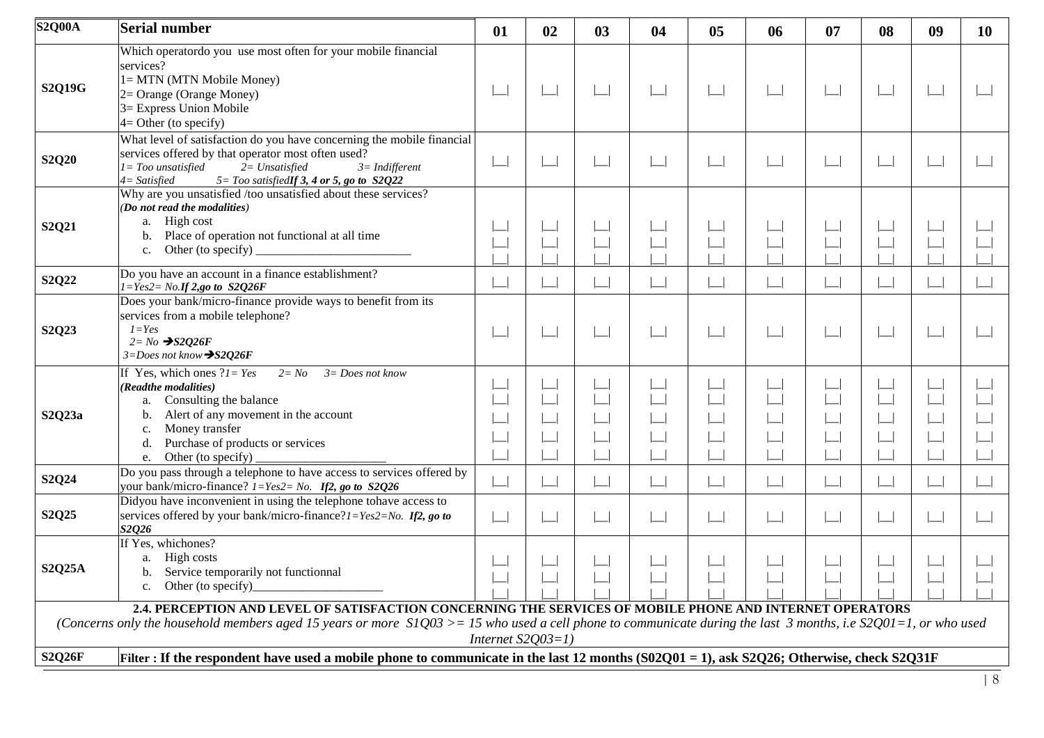| <b>S2Q00A</b> | <b>Serial number</b>                                                                                                                                                                                                                                                          | 01                       | 02 | 03     | 04                       | 05                       | 06     | 07                       | 08                    | 09                    | 10 |
|---------------|-------------------------------------------------------------------------------------------------------------------------------------------------------------------------------------------------------------------------------------------------------------------------------|--------------------------|----|--------|--------------------------|--------------------------|--------|--------------------------|-----------------------|-----------------------|----|
| <b>S2Q19G</b> | Which operatordo you use most often for your mobile financial<br>services?<br>1 = MTN (MTN Mobile Money)<br>2= Orange (Orange Money)<br>3= Express Union Mobile<br>$4=$ Other (to specify)                                                                                    | $\boxed{\phantom{1}}$    |    | $\Box$ |                          | $\Box$                   | $\Box$ | $\overline{\phantom{0}}$ | $\boxed{\phantom{1}}$ | $\boxed{\phantom{1}}$ |    |
| <b>S2Q20</b>  | What level of satisfaction do you have concerning the mobile financial<br>services offered by that operator most often used?<br>l = Too unsatisfied<br>$2 = Unsatisfied$<br>$3 = Indifferent$<br>$5 = Too$ satisfiedlf 3, 4 or 5, go to $S2Q22$<br>4= Satisfied               | $\boxed{\phantom{1}}$    |    |        |                          |                          |        | $\overline{\phantom{0}}$ |                       |                       |    |
| S2Q21         | Why are you unsatisfied /too unsatisfied about these services?<br>(Do not read the modalities)<br>a. High cost<br>Place of operation not functional at all time<br>$\mathbf{b}$ .<br>Other (to specify)<br>$c_{\cdot}$                                                        | $\overline{\phantom{0}}$ |    |        |                          |                          |        | $\Box$                   | $\boxed{\phantom{1}}$ | $\boxed{\phantom{1}}$ |    |
| S2Q22         | Do you have an account in a finance establishment?<br>$1 = Yes2 = No.$ If 2,go to S2Q26F                                                                                                                                                                                      | $\overline{\phantom{0}}$ |    |        | $\Box$                   | $\overline{\phantom{0}}$ |        | $\Box$                   | $\Box$                |                       |    |
| S2Q23         | Does your bank/micro-finance provide ways to benefit from its<br>services from a mobile telephone?<br>$I = Yes$<br>$2 = No \rightarrow S2Q26F$<br>$3 = Does not know \rightarrow S2Q26F$                                                                                      | $\lfloor$                |    |        |                          | $\overline{\phantom{0}}$ |        | $\blacksquare$           | $\Box$                | $\Box$                |    |
| S2Q23a        | If Yes, which ones $?1 = Yes$<br>$2 = No$<br>$3 = Does not know$<br>(Readthe modalities)<br>Consulting the balance<br>a.<br>Alert of any movement in the account<br>b.<br>Money transfer<br>c.<br>Purchase of products or services<br>d.<br>Other (to specify)<br>e.          |                          |    |        |                          |                          |        |                          |                       |                       |    |
| S2Q24         | Do you pass through a telephone to have access to services offered by<br>your bank/micro-finance? $1 = Yes2 = No$ . If2, go to S2Q26                                                                                                                                          | $\lfloor \rfloor$        |    |        | $\overline{\phantom{a}}$ | $\Box$                   |        | $\Box$                   | $\Box$                |                       |    |
| S2Q25         | Didyou have inconvenient in using the telephone tohave access to<br>services offered by your bank/micro-finance? $1 = Yes2 = No$ . If 2, go to<br>S2Q26                                                                                                                       | $\Box$                   |    |        |                          | $\Box$                   |        | $\Box$                   | $\lfloor \rfloor$     | $\Box$                |    |
| <b>S2Q25A</b> | If Yes, whichones?<br>a. High costs<br>Service temporarily not functionnal<br>b.<br>Other (to specify)<br>$\mathbf{c}$ .                                                                                                                                                      |                          |    |        |                          |                          |        |                          |                       |                       |    |
|               | 2.4. PERCEPTION AND LEVEL OF SATISFACTION CONCERNING THE SERVICES OF MOBILE PHONE AND INTERNET OPERATORS<br>(Concerns only the household members aged 15 years or more $SIQ03 \ge 15$ who used a cell phone to communicate during the last 3 months, i.e S2Q01=1, or who used |                          |    |        |                          |                          |        |                          |                       |                       |    |
| <b>S2Q26F</b> | Filter : If the respondent have used a mobile phone to communicate in the last 12 months (S02Q01 = 1), ask S2Q26; Otherwise, check S2Q31F                                                                                                                                     | Internet $S2Q03=1$ )     |    |        |                          |                          |        |                          |                       |                       |    |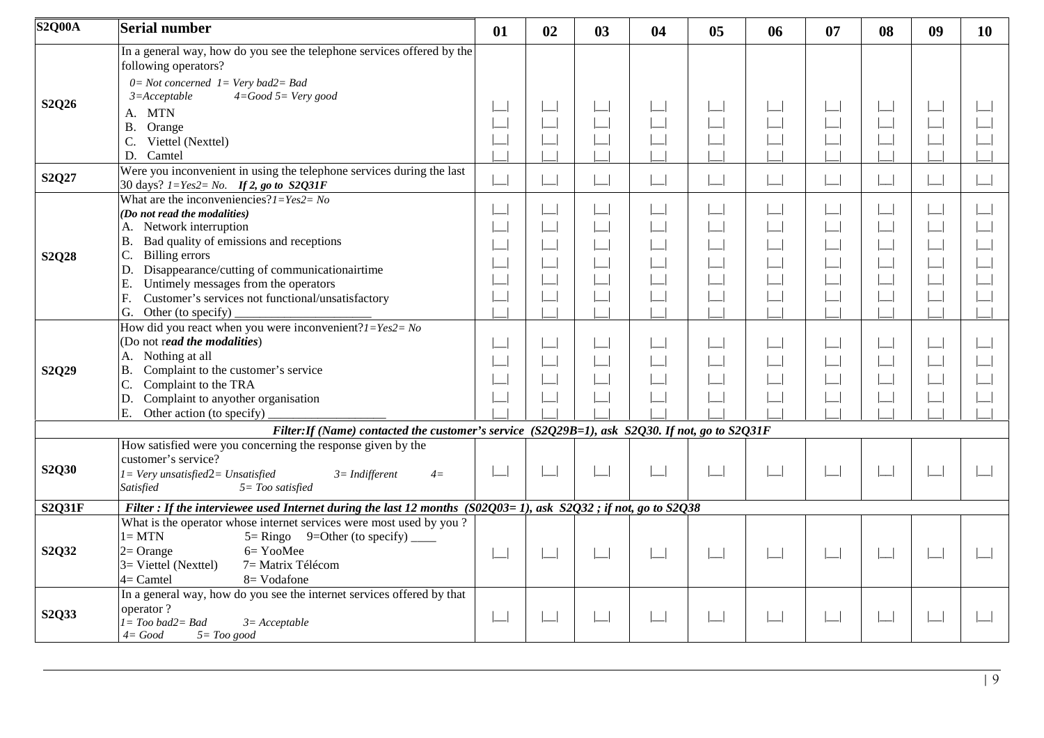| <b>S2Q00A</b> | <b>Serial number</b>                                                                                                                                                                                                                    | 01                    | 02                    | 03                    | 04                    | 0 <sub>5</sub>        | 06                                                       | 07                       | 08                    | 09     | 10 |
|---------------|-----------------------------------------------------------------------------------------------------------------------------------------------------------------------------------------------------------------------------------------|-----------------------|-----------------------|-----------------------|-----------------------|-----------------------|----------------------------------------------------------|--------------------------|-----------------------|--------|----|
|               | In a general way, how do you see the telephone services offered by the<br>following operators?                                                                                                                                          |                       |                       |                       |                       |                       |                                                          |                          |                       |        |    |
| S2Q26         | $0=Not\ concerned\ I=Very\ bad2=Bad$<br>$4 = Good5 = Very good$<br>$3 = Acceptable$                                                                                                                                                     |                       |                       |                       |                       |                       |                                                          |                          |                       |        |    |
|               | A. MTN<br><b>B.</b><br>Orange                                                                                                                                                                                                           |                       |                       |                       |                       |                       |                                                          |                          |                       |        |    |
|               | C.<br>Viettel (Nexttel)<br>D. Camtel                                                                                                                                                                                                    |                       |                       |                       |                       |                       |                                                          |                          |                       |        |    |
| S2Q27         | Were you inconvenient in using the telephone services during the last<br>30 days? $1 = Yes2 = No.$ If 2, go to S2Q31F                                                                                                                   | $\boxed{\phantom{1}}$ | $\boxed{\phantom{1}}$ | $\Box$                | $\boxed{\phantom{1}}$ | $\boxed{\phantom{1}}$ | $\begin{array}{c} \boxed{1} \\ \boxed{1} \\ \end{array}$ | $\Box$                   | $\Box$                |        |    |
|               | What are the inconveniencies? $l = Yes2 = No$<br>(Do not read the modalities)                                                                                                                                                           |                       |                       |                       |                       | $\Box$                |                                                          | $\overline{\phantom{0}}$ |                       |        |    |
|               | A. Network interruption<br>Bad quality of emissions and receptions<br><b>B.</b><br>Billing errors<br>C.                                                                                                                                 |                       |                       |                       |                       |                       |                                                          | $\Box$                   |                       |        |    |
| <b>S2Q28</b>  | Disappearance/cutting of communicationairtime<br>D.<br>Untimely messages from the operators<br>Ε.                                                                                                                                       |                       |                       |                       |                       |                       |                                                          |                          |                       |        |    |
|               | F.<br>Customer's services not functional/unsatisfactory<br>G.<br>Other (to specify)                                                                                                                                                     |                       |                       |                       |                       |                       |                                                          |                          |                       |        |    |
|               | How did you react when you were inconvenient? $1 = Yes2 = No$<br>(Do not read the modalities)                                                                                                                                           |                       |                       |                       |                       |                       |                                                          | $\Box$                   |                       |        |    |
| S2Q29         | A. Nothing at all<br>Complaint to the customer's service<br><b>B.</b>                                                                                                                                                                   |                       |                       |                       |                       |                       |                                                          | $\Box$                   | $\boxed{\phantom{1}}$ |        |    |
|               | C.<br>Complaint to the TRA<br>Complaint to anyother organisation<br>D.<br>E.<br>Other action (to specify)                                                                                                                               |                       |                       |                       |                       |                       |                                                          |                          |                       |        |    |
|               | Filter: If (Name) contacted the customer's service (S2Q29B=1), ask S2Q30. If not, go to S2Q31F                                                                                                                                          |                       |                       |                       |                       |                       |                                                          |                          |                       |        |    |
| S2Q30         | How satisfied were you concerning the response given by the<br>customer's service?<br>$I = Very$ unsatisfied $2 = Unsatisfied$<br>$3 = Indifferent$<br>$4=$<br>Satisfied<br>$5 = Too$ satisfied                                         |                       |                       | $\Box$                | $\boxed{\phantom{1}}$ | $\boxed{\phantom{1}}$ | $\lfloor$                                                | $\overline{\phantom{a}}$ | $\boxed{\phantom{1}}$ |        |    |
| <b>S2Q31F</b> | Filter : If the interviewee used Internet during the last 12 months $(S02Q03=1)$ , ask $S2Q32$ ; if not, go to $S2Q38$                                                                                                                  |                       |                       |                       |                       |                       |                                                          |                          |                       |        |    |
| S2Q32         | What is the operator whose internet services were most used by you?<br>$l = MTN$<br>$5 =$ Ringo 9=Other (to specify) _____<br>6= YooMee<br>$2=Orange$<br>$3=$ Viettel (Nexttel)<br>7 = Matrix Télécom<br>$4=$ Camtel<br>$8 = V$ odafone |                       |                       | $\boxed{\phantom{1}}$ | $\boxed{\phantom{1}}$ | $\boxed{\phantom{1}}$ | $\boxed{\phantom{1}}$                                    | $\Box$                   | $\boxed{\phantom{1}}$ | $\Box$ |    |
| S2Q33         | In a general way, how do you see the internet services offered by that<br>operator?<br>$I = Too$ bad $2 = Bad$<br>$3=Acceptable$<br>$4 = Good$<br>$5 = Too good$                                                                        | $\boxed{\phantom{1}}$ |                       |                       | $\boxed{\phantom{1}}$ | $\Box$                |                                                          | $\overline{\phantom{0}}$ | $\mathbf{L}$          |        |    |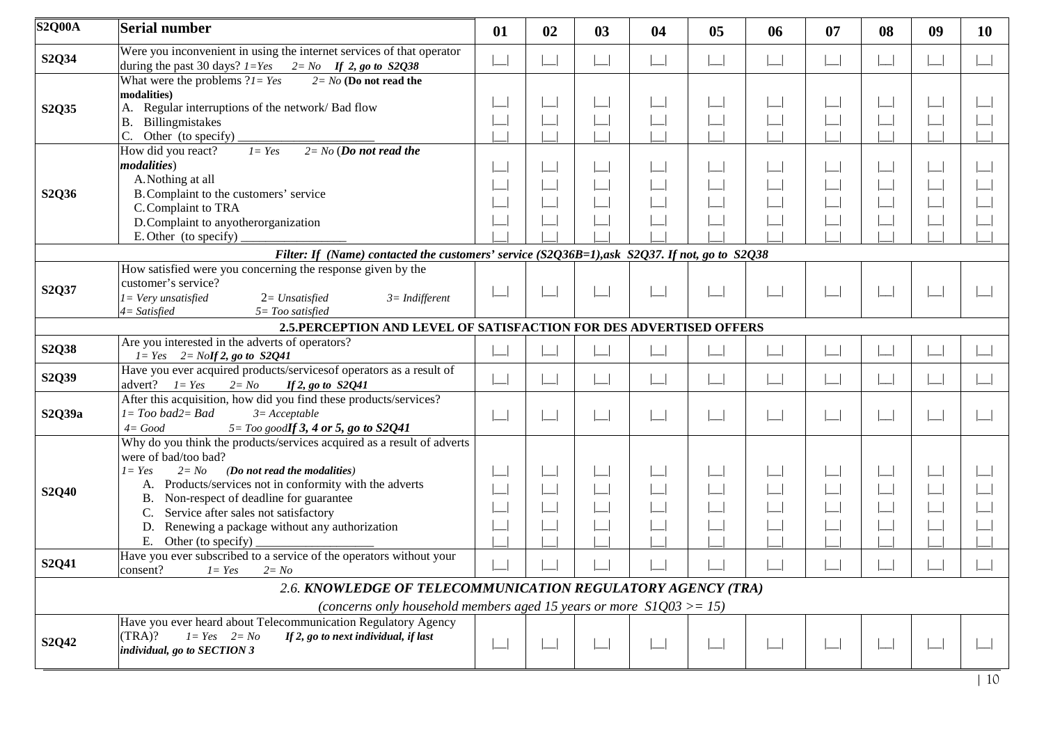| <b>S2Q00A</b> | <b>Serial number</b>                                                                                                                                                                                                                                                                                                                                                                           | 01 | 02 | 03 | 04     | 0 <sub>5</sub> | 06 | 07                       | 08                       | 09 | <b>10</b> |
|---------------|------------------------------------------------------------------------------------------------------------------------------------------------------------------------------------------------------------------------------------------------------------------------------------------------------------------------------------------------------------------------------------------------|----|----|----|--------|----------------|----|--------------------------|--------------------------|----|-----------|
| S2Q34         | Were you inconvenient in using the internet services of that operator<br>during the past 30 days? $1 = Yes$ $2 = No$ If 2, go to S2Q38                                                                                                                                                                                                                                                         |    |    |    |        | $\Box$         |    |                          |                          |    |           |
| S2Q35         | What were the problems $?1 = Yes$<br>$2 = No$ (Do not read the<br>modalities)<br>Regular interruptions of the network/ Bad flow<br><b>B.</b><br>Billingmistakes<br>Other (to specify)                                                                                                                                                                                                          |    |    |    |        |                |    |                          |                          |    |           |
| S2Q36         | $2 = No$ (Do not read the<br>How did you react?<br>$I = Yes$<br><i>modalities</i> )<br>A. Nothing at all<br>B. Complaint to the customers' service<br>C. Complaint to TRA<br>D.Complaint to anyotherorganization<br>E. Other (to specify)                                                                                                                                                      |    |    |    |        |                |    |                          |                          |    |           |
|               | Filter: If (Name) contacted the customers' service (S2Q36B=1), ask S2Q37. If not, go to S2Q38                                                                                                                                                                                                                                                                                                  |    |    |    |        |                |    |                          |                          |    |           |
| S2Q37         | How satisfied were you concerning the response given by the<br>customer's service?<br>$I = Very$ unsatisfied<br>$2 = Unsatisfied$<br>$3 = Indifferent$<br>$4 = Satisfied$<br>$5 = Too$ satisfied                                                                                                                                                                                               |    |    |    |        | $\Box$         |    |                          |                          |    |           |
|               | 2.5. PERCEPTION AND LEVEL OF SATISFACTION FOR DES ADVERTISED OFFERS                                                                                                                                                                                                                                                                                                                            |    |    |    |        |                |    |                          |                          |    |           |
| S2Q38         | Are you interested in the adverts of operators?<br>$1 = Yes$ $2 = Nolf 2$ , go to $S2Q41$                                                                                                                                                                                                                                                                                                      |    |    |    |        |                |    |                          |                          |    |           |
| S2Q39         | Have you ever acquired products/services of operators as a result of<br>advert? $l = Yes$ $2 = No$<br>If $2$ , go to $S2Q41$                                                                                                                                                                                                                                                                   |    |    |    |        | $\Box$         |    | $\overline{\phantom{0}}$ |                          |    |           |
| S2Q39a        | After this acquisition, how did you find these products/services?<br>$1 = Too$ bad $2 = Bad$<br>$3=Acceptable$<br>$4 = Good$<br>$5 =$ Too goodIf 3, 4 or 5, go to S2Q41                                                                                                                                                                                                                        |    |    |    | $\Box$ | $\Box$         |    |                          | $\overline{\phantom{a}}$ |    |           |
| S2Q40         | Why do you think the products/services acquired as a result of adverts<br>were of bad/too bad?<br>(Do not read the modalities)<br>$I = Yes$<br>$2 = No$<br>A. Products/services not in conformity with the adverts<br>Non-respect of deadline for guarantee<br>Β.<br>Service after sales not satisfactory<br>C.<br>Renewing a package without any authorization<br>D.<br>E. Other (to specify) |    |    |    |        |                |    |                          |                          |    |           |
| S2Q41         | Have you ever subscribed to a service of the operators without your<br>consent?<br>$I = Yes$ $2 = No$                                                                                                                                                                                                                                                                                          |    |    |    |        |                |    |                          |                          |    |           |
|               | 2.6. KNOWLEDGE OF TELECOMMUNICATION REGULATORY AGENCY (TRA)                                                                                                                                                                                                                                                                                                                                    |    |    |    |        |                |    |                          |                          |    |           |
|               | (concerns only household members aged 15 years or more $S1Q03 >= 15$ )                                                                                                                                                                                                                                                                                                                         |    |    |    |        |                |    |                          |                          |    |           |
| S2Q42         | Have you ever heard about Telecommunication Regulatory Agency<br>(TRA)?<br>$I = Yes$ $2 = No$<br>If 2, go to next individual, if last<br>individual, go to SECTION 3                                                                                                                                                                                                                           |    |    |    |        |                |    |                          |                          |    |           |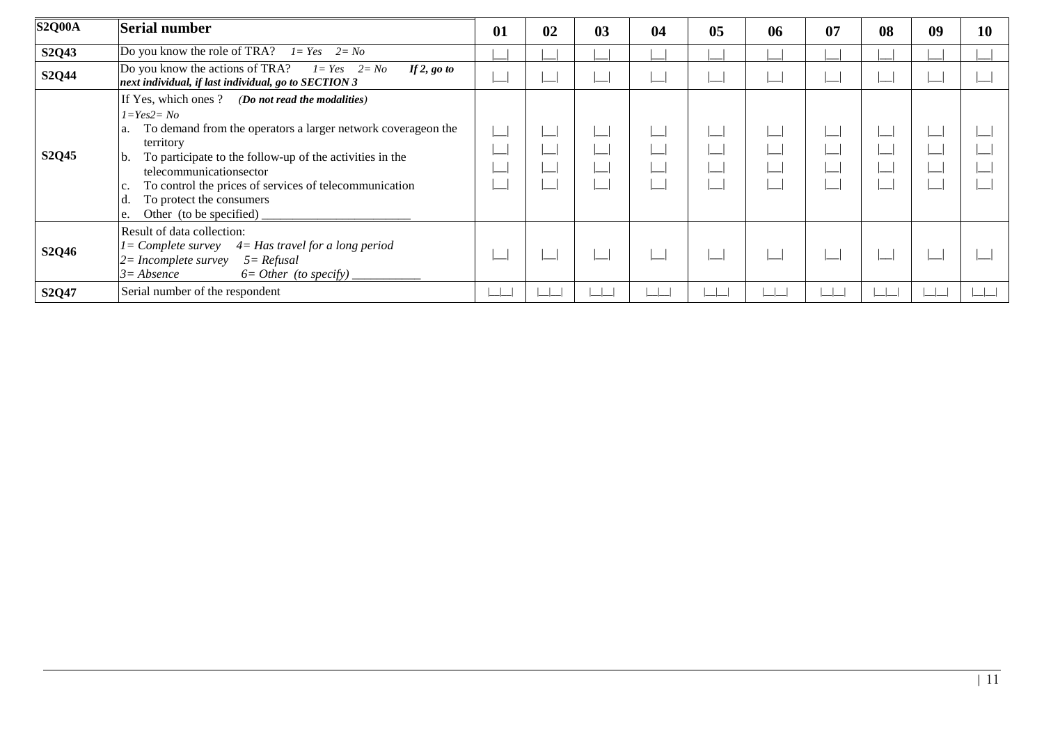| <b>S2Q00A</b> | Serial number                                                                                                                                                                                                                                                                                                                                                               | 01 | 02 | 03 | 04 | 0 <sub>5</sub> | 06 | 07 | 08 | 09 | 10 |
|---------------|-----------------------------------------------------------------------------------------------------------------------------------------------------------------------------------------------------------------------------------------------------------------------------------------------------------------------------------------------------------------------------|----|----|----|----|----------------|----|----|----|----|----|
| S2Q43         | Do you know the role of TRA? $l = Yes$ $2 = No$                                                                                                                                                                                                                                                                                                                             |    |    |    |    |                |    |    |    |    |    |
| S2Q44         | Do you know the actions of TRA? $I = Yes$ $2 = No$<br>If $2$ , go to<br>next individual, if last individual, go to SECTION 3                                                                                                                                                                                                                                                |    |    |    |    |                |    |    |    |    |    |
| S2Q45         | If Yes, which ones ? (Do not read the modalities)<br>$I = Yes2 = No$<br>To demand from the operators a larger network coverageon the<br>a.<br>territory<br>To participate to the follow-up of the activities in the<br>b.<br>telecommunicationsector<br>To control the prices of services of telecommunication<br>To protect the consumers<br>Other (to be specified)<br>e. |    |    |    |    |                |    |    |    |    |    |
| S2Q46         | Result of data collection:<br>$1 =$ Complete survey $4 =$ Has travel for a long period<br>$2 = Incomplete survey$<br>$5 = Refusal$<br>$3 = Absence$<br>$6=Other$ (to specify) $_{-}$                                                                                                                                                                                        |    |    |    |    |                |    |    |    |    |    |
| S2Q47         | Serial number of the respondent                                                                                                                                                                                                                                                                                                                                             |    |    |    |    |                |    |    |    |    |    |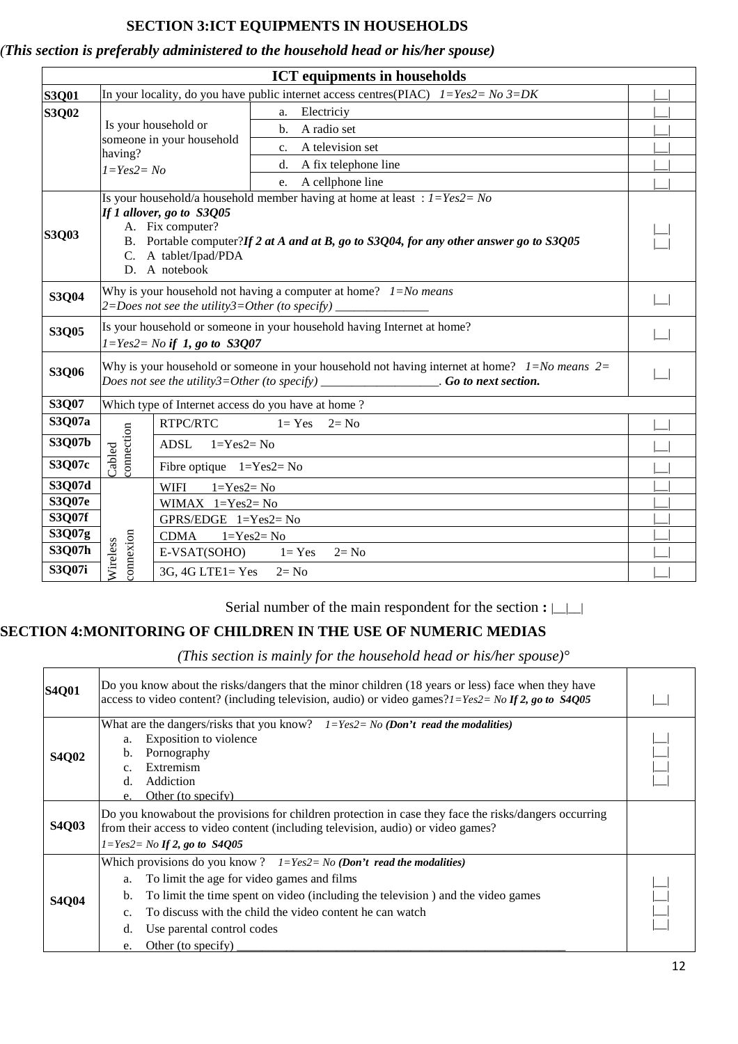## **SECTION 3:ICT EQUIPMENTS IN HOUSEHOLDS**

## *(This section is preferably administered to the household head or his/her spouse)*

| <b>ICT</b> equipments in households |                                                                                                                                   |                                                                                                                                                                                                                                                                   |                                                                                           |  |  |  |  |
|-------------------------------------|-----------------------------------------------------------------------------------------------------------------------------------|-------------------------------------------------------------------------------------------------------------------------------------------------------------------------------------------------------------------------------------------------------------------|-------------------------------------------------------------------------------------------|--|--|--|--|
| <b>S3Q01</b>                        |                                                                                                                                   |                                                                                                                                                                                                                                                                   | In your locality, do you have public internet access centres (PIAC) $1 = Yes2 = No3 = DK$ |  |  |  |  |
| S3Q02                               | Is your household or<br>someone in your household<br>having?<br>$1 = Yes2 = No$                                                   |                                                                                                                                                                                                                                                                   | Electriciy<br>a.                                                                          |  |  |  |  |
|                                     |                                                                                                                                   |                                                                                                                                                                                                                                                                   | A radio set<br>$\mathbf{b}$ .                                                             |  |  |  |  |
|                                     |                                                                                                                                   |                                                                                                                                                                                                                                                                   | A television set<br>$c_{\cdot}$                                                           |  |  |  |  |
|                                     |                                                                                                                                   |                                                                                                                                                                                                                                                                   | A fix telephone line<br>d.                                                                |  |  |  |  |
|                                     |                                                                                                                                   |                                                                                                                                                                                                                                                                   | A cellphone line<br>e.                                                                    |  |  |  |  |
| <b>S3Q03</b>                        |                                                                                                                                   | Is your household/a household member having at home at least: $1 = Yes2 = No$<br>If 1 allover, go to S3Q05<br>A. Fix computer?<br>B. Portable computer?If 2 at A and at B, go to S3Q04, for any other answer go to S3Q05<br>C. A tablet/Ipad/PDA<br>D. A notebook |                                                                                           |  |  |  |  |
| <b>S3Q04</b>                        | Why is your household not having a computer at home? $1 = No$ means<br>2=Does not see the utility3=Other (to specify) ___________ |                                                                                                                                                                                                                                                                   |                                                                                           |  |  |  |  |
| S3Q05                               |                                                                                                                                   | Is your household or someone in your household having Internet at home?<br>$1 = Yes2 = No$ if 1, go to S3Q07                                                                                                                                                      |                                                                                           |  |  |  |  |
| S3Q06                               |                                                                                                                                   | Why is your household or someone in your household not having internet at home? $1 = No$ means $2 =$<br>Does not see the utility3=Other (to specify) _________________. Go to next section.                                                                       |                                                                                           |  |  |  |  |
| S3Q07                               |                                                                                                                                   | Which type of Internet access do you have at home?                                                                                                                                                                                                                |                                                                                           |  |  |  |  |
| S3Q07a                              |                                                                                                                                   | RTPC/RTC                                                                                                                                                                                                                                                          | $1 = Yes$<br>$2 = No$                                                                     |  |  |  |  |
| S3Q07b                              | connection                                                                                                                        | ADSL<br>$1 = Yes2 = No$                                                                                                                                                                                                                                           |                                                                                           |  |  |  |  |
| S3Q07c                              | Cabled                                                                                                                            | Fibre optique $1 = Yes2 = No$                                                                                                                                                                                                                                     |                                                                                           |  |  |  |  |
| S3Q07d                              |                                                                                                                                   | $1 = Yes2 = No$<br><b>WIFI</b>                                                                                                                                                                                                                                    |                                                                                           |  |  |  |  |
| S3Q07e                              |                                                                                                                                   | WIMAX $1 = Yes2 = No$                                                                                                                                                                                                                                             |                                                                                           |  |  |  |  |
| S3Q07f                              |                                                                                                                                   | GPRS/EDGE $1 = Yes2 = No$                                                                                                                                                                                                                                         |                                                                                           |  |  |  |  |
| S3Q07g                              |                                                                                                                                   | CDMA                                                                                                                                                                                                                                                              | $1 = Yes2 = No$                                                                           |  |  |  |  |
| S3Q07h                              | connexion<br>Wireless                                                                                                             | $E-VSAT(SOHO)$ $1=Yes$                                                                                                                                                                                                                                            | $2 = No$                                                                                  |  |  |  |  |
| S3Q07i                              |                                                                                                                                   | $3G, 4G$ LTE1= Yes                                                                                                                                                                                                                                                | $2 = No$                                                                                  |  |  |  |  |

Serial number of the main respondent for the section **:**  $\Box$ 

## **SECTION 4:MONITORING OF CHILDREN IN THE USE OF NUMERIC MEDIAS**

*(This section is mainly for the household head or his/her spouse)°*

| <b>S4Q01</b> | Do you know about the risks/dangers that the minor children (18 years or less) face when they have<br>access to video content? (including television, audio) or video games? $1 = Yes2 = No$ If 2, go to S4005                                                                                                                                                 |  |  |  |  |
|--------------|----------------------------------------------------------------------------------------------------------------------------------------------------------------------------------------------------------------------------------------------------------------------------------------------------------------------------------------------------------------|--|--|--|--|
| <b>S4Q02</b> | What are the dangers/risks that you know? $I = Yes2 = No$ (Don't read the modalities)<br>Exposition to violence<br>a.<br>Pornography<br>$b_{1}$<br>Extremism<br>$\mathbf{c}$ .<br>Addiction<br>d.<br>Other (to specify)<br>e.                                                                                                                                  |  |  |  |  |
| <b>S4Q03</b> | Do you knowabout the provisions for children protection in case they face the risks/dangers occurring<br>from their access to video content (including television, audio) or video games?<br>$I = Yes2 = No$ If 2, go to S4005                                                                                                                                 |  |  |  |  |
| <b>S4Q04</b> | Which provisions do you know ? $I = Yes2 = No$ (Don't read the modalities)<br>To limit the age for video games and films<br>a.<br>To limit the time spent on video (including the television) and the video games<br>$\mathbf b$ .<br>To discuss with the child the video content he can watch<br>Use parental control codes<br>d.<br>Other (to specify)<br>e. |  |  |  |  |